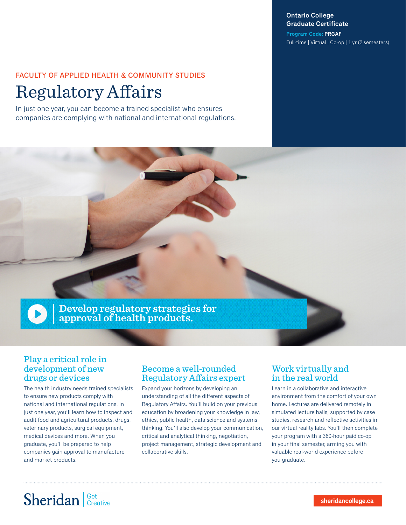#### **Ontario College Graduate Certificate**

**Program Code: PRGAF** Full-time | Virtual | Co-op | 1 yr (2 semesters)

## FACULTY OF APPLIED HEALTH & COMMUNITY STUDIES

## Regulatory Affairs

In just one year, you can become a trained specialist who ensures companies are complying with national and international regulations.



### Play a critical role in development of new drugs or devices

The health industry needs trained specialists to ensure new products comply with national and international regulations. In just one year, you'll learn how to inspect and audit food and agricultural products, drugs, veterinary products, surgical equipment, medical devices and more. When you graduate, you'll be prepared to help companies gain approval to manufacture and market products.

### Become a well-rounded Regulatory Affairs expert

Expand your horizons by developing an understanding of all the different aspects of Regulatory Affairs. You'll build on your previous education by broadening your knowledge in law, ethics, public health, data science and systems thinking. You'll also develop your communication, critical and analytical thinking, negotiation, project management, strategic development and collaborative skills.

### Work virtually and in the real world

Learn in a collaborative and interactive environment from the comfort of your own home. Lectures are delivered remotely in simulated lecture halls, supported by case studies, research and reflective activities in our virtual reality labs. You'll then complete your program with a 360-hour paid co-op in your final semester, arming you with valuable real-world experience before you graduate.

# Sheridan | Get Creative